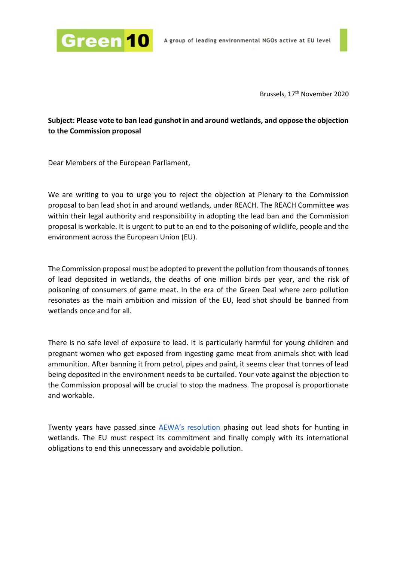

Brussels, 17 th November 2020

**Subject: Please vote to ban lead gunshot in and around wetlands, and oppose the objection to the Commission proposal**

Dear Members of the European Parliament,

We are writing to you to urge you to reject the objection at Plenary to the Commission proposal to ban lead shot in and around wetlands, under REACH. The REACH Committee was within their legal authority and responsibility in adopting the lead ban and the Commission proposal is workable. It is urgent to put to an end to the poisoning of wildlife, people and the environment across the European Union (EU).

The Commission proposal must be adopted to prevent the pollution from thousands of tonnes of lead deposited in wetlands, the deaths of one million birds per year, and the risk of poisoning of consumers of game meat. In the era of the Green Deal where zero pollution resonates as the main ambition and mission of the EU, lead shot should be banned from wetlands once and for all.

There is no safe level of exposure to lead. It is particularly harmful for young children and pregnant women who get exposed from ingesting game meat from animals shot with lead ammunition. After banning it from petrol, pipes and paint, it seems clear that tonnes of lead being deposited in the environment needs to be curtailed. Your vote against the objection to the Commission proposal will be crucial to stop the madness. The proposal is proportionate and workable.

Twenty years have passed since AEWA's resolution [phasing out lead shots for hunting in](https://www.unep-aewa.org/sites/default/files/document/r14_0.pdf)  [wetlands.](https://www.unep-aewa.org/sites/default/files/document/r14_0.pdf) The EU must respect its commitment and finally comply with its international obligations to end this unnecessary and avoidable pollution.